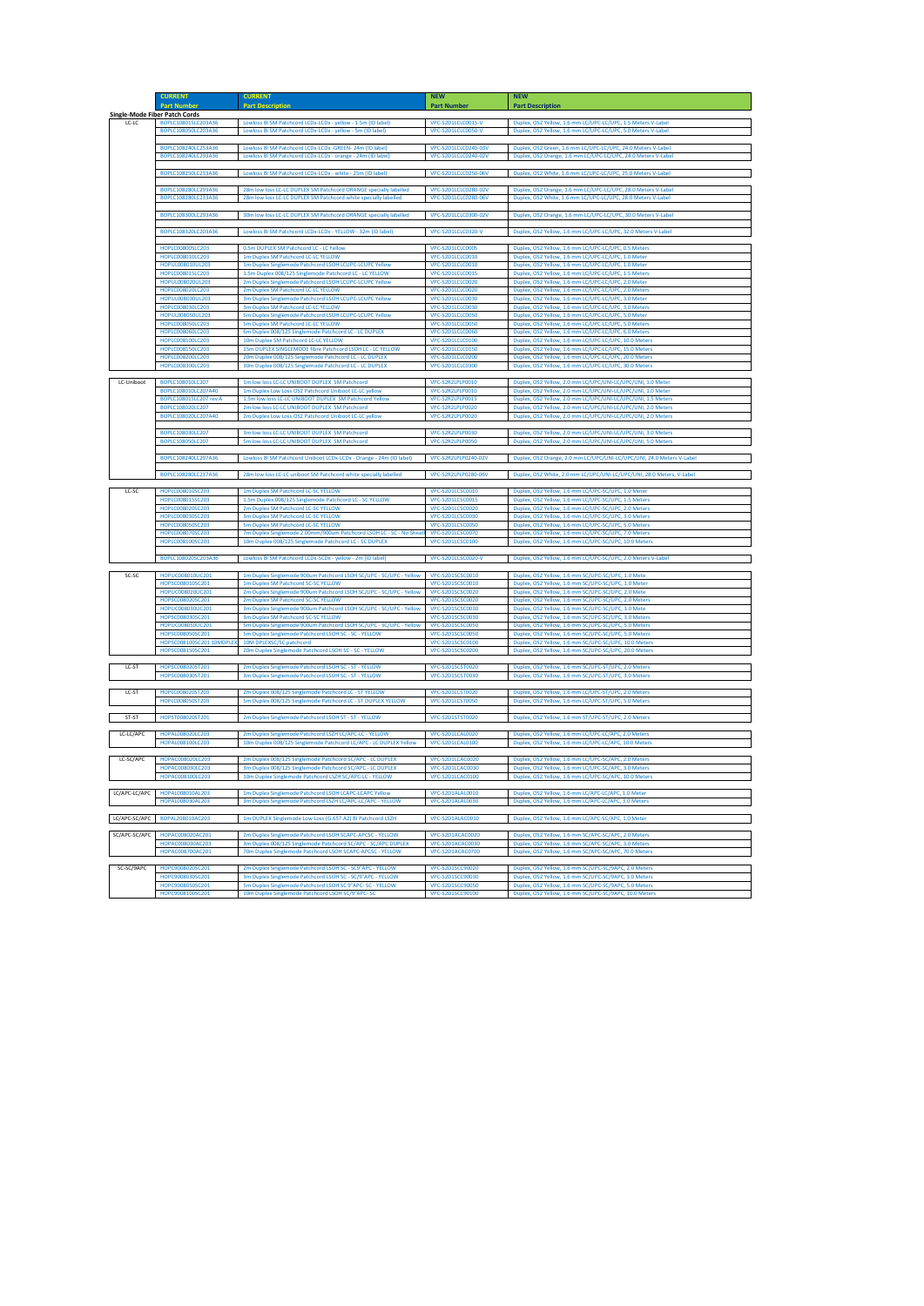|       | <b>CURRENT</b>                       | <b>CURRENT</b>                                                   | <b>NEW</b>                  | <b>NEW</b>                                                    |
|-------|--------------------------------------|------------------------------------------------------------------|-----------------------------|---------------------------------------------------------------|
|       | <b>Part Number</b>                   | <b>Part Description</b>                                          | <b>Part Number</b>          | <b>Part Description</b>                                       |
|       | <b>Single-Mode Fiber Patch Cords</b> |                                                                  |                             |                                                               |
| LC-LC | BOPLC108015LC203A36                  | Lowloss BI SM Patchcord LCDx-LCDx - yellow - 1.5m (ID label)     | VPC-S2D1LCLC0015-V          | Duplex, OS2 Yellow, 1.6 mm LC/UPC-LC/UPC, 1.5 Meters V-Label  |
|       | BOPLC108050LC203A36                  | Lowloss BI SM Patchcord LCDx-LCDx - yellow - 5m (ID label)       | VPC-S2D1LCLC0050-V          | Duplex, OS2 Yellow, 1.6 mm LC/UPC-LC/UPC, 5.0 Meters V-Label  |
|       |                                      |                                                                  |                             |                                                               |
|       | BOPLC108240LC253A36                  | Lowloss BI SM Patchcord LCDx-LCDx -GREEN- 24m (ID label)         | VPC-S2D1LCLC0240-03V        | Duplex, OS2 Green, 1.6 mm LC/UPC-LC/UPC, 24.0 Meters V-Label  |
|       | BOPLC108240LC293A36                  | Lowloss BI SM Patchcord LCDx-LCDx - orange - 24m (ID label)      | VPC-S2D1LCLC0240-02V        | Duplex, OS2 Orange, 1.6 mm LC/UPC-LC/UPC, 24.0 Meters V-Label |
|       |                                      |                                                                  |                             |                                                               |
|       | BOPLC108250LC233A36                  | Lowloss BI SM Patchcord LCDx-LCDx - white - 25m (ID label)       | VPC-S2D1LCLC0250-06V        | Duplex, OS2 White, 1.6 mm LC/UPC-LC/UPC, 25.0 Meters V-Label  |
|       |                                      |                                                                  |                             |                                                               |
|       | BOPLC108280LC293A36                  | 28m low loss LC-LC DUPLEX SM Patchcord ORANGE specially labelled | VPC-S2D1LCLC0280-02V        | Duplex, OS2 Orange, 1.6 mm LC/UPC-LC/UPC, 28.0 Meters V-Label |
|       | BOPLC108280LC233A36                  | 28m low loss LC-LC DUPLEX SM Patchcord white specially labelled  | <b>VPC-S2D1LCLC0280-06V</b> | Duplex, OS2 White, 1.6 mm LC/UPC-LC/UPC, 28.0 Meters V-Label  |
|       |                                      |                                                                  |                             |                                                               |
|       | BOPLC108300LC293A36                  | 30m low loss LC-LC DUPLEX SM Patchcord ORANGE specially labelled | VPC-S2D1LCLC0300-02V        | Duplex, OS2 Orange, 1.6 mm LC/UPC-LC/UPC, 30.0 Meters V-Label |
|       |                                      |                                                                  |                             |                                                               |
|       | BOPLC108320LC203A36                  | Lowloss BI SM Patchcord LCDx-LCDx - YELLOW - 32m (ID label)      | VPC-S2D1LCLC0320-V          | Duplex, OS2 Yellow, 1.6 mm LC/UPC-LC/UPC, 32.0 Meters V-Label |
|       |                                      |                                                                  |                             |                                                               |
|       | HOPLC008005LC203                     | 0.5m DUPLEX SM Patchcord LC - LC Yellow                          | VPC-S2D1LCLC0005            | Duplex, OS2 Yellow, 1.6 mm LC/UPC-LC/UPC, 0.5 Meters          |
|       | HOPLC008010LC203                     | 1m Duplex SM Patchcord LC-LC YELLOW                              | VPC-S2D1LCLC0010            | Duplex, OS2 Yellow, 1.6 mm LC/UPC-LC/UPC, 1.0 Meter           |
|       | HOPUL008010UL203                     | 1m Duplex Singlemode Patchcord LSOH LCUPC-LCUPC Yellow           | VPC-S2D1LCLC0010            | Duplex, OS2 Yellow, 1.6 mm LC/UPC-LC/UPC, 1.0 Meter           |
|       | HOPLC008015LC203                     | 1.5m Duplex 008/125 Singlemode Patchcord LC - LC YELLOW          | VPC-S2D1LCLC0015            | Duplex, OS2 Yellow, 1.6 mm LC/UPC-LC/UPC, 1.5 Meters          |
|       | HOPUL008020UL203                     | 2m Duplex Singlemode Patchcord LSOH LCUPC-LCUPC Yellow           | VPC-S2D1LCLC0020            | Duplex, OS2 Yellow, 1.6 mm LC/UPC-LC/UPC, 2.0 Meter           |
|       | HOPLC008020LC203                     | 2m Duplex SM Patchcord LC-LC YELLOW                              | VPC-S2D1LCLC0020            | Duplex, OS2 Yellow, 1.6 mm LC/UPC-LC/UPC, 2.0 Meters          |
|       | HOPUL008030UL203                     | 3m Duplex Singlemode Patchcord LSOH LCUPC-LCUPC Yellow           | VPC-S2D1LCLC0030            | Duplex, OS2 Yellow, 1.6 mm LC/UPC-LC/UPC, 3.0 Meter           |
|       | HOPLC008030LC203                     | 3m Duplex SM Patchcord LC-LC YELLOW                              | VPC-S2D1LCLC0030            | Duplex, OS2 Yellow, 1.6 mm LC/UPC-LC/UPC, 3.0 Meters          |
|       | HOPUL008050UL203                     | 5m Duplex Singlemode Patchcord LSOH LCUPC-LCUPC Yellow           | VPC-S2D1LCLC0050            | Duplex, OS2 Yellow, 1.6 mm LC/UPC-LC/UPC, 5.0 Meter           |
|       | HOPLC008050LC203                     | 5m Duplex SM Patchcord LC-LC YELLOW                              | VPC-S2D1LCLC0050            | Duplex, OS2 Yellow, 1.6 mm LC/UPC-LC/UPC, 5.0 Meters          |
|       | HOPLC008060LC203                     | 6m Duplex 008/125 Singlemode Patchcord LC - LC DUPLEX            | VPC-S2D1LCLC0060            | Duplex, OS2 Yellow, 1.6 mm LC/UPC-LC/UPC, 6.0 Meters          |
|       | HOPLC008100LC203                     | 10m Duplex SM Patchcord LC-LC YELLOW                             | VPC-S2D1LCLC0100            | Duplex, OS2 Yellow, 1.6 mm LC/UPC-LC/UPC, 10.0 Meters         |
|       | HOPLC008150LC203                     | 15m DUPLEX SINGLEMODE fibre Patchcord LSOH LC - LC YELLOW        | VPC-S2D1LCLC0150            | Duplex, OS2 Yellow, 1.6 mm LC/UPC-LC/UPC, 15.0 Meters         |
|       | HOPLC008200LC203                     | 20m Duplex 008/125 Singlemode Patchcord LC - LC DUPLEX           | VPC-S2D1LCLC0200            | Duplex, OS2 Yellow, 1.6 mm LC/UPC-LC/UPC, 20.0 Meters         |
|       | HOPLC008300LC203                     | 30m Duplex 008/125 Singlemode Patchcord LC - LC DUPLEX           | VPC-S2D1LCLC0300            | Duplex, OS2 Yellow, 1.6 mm LC/UPC-LC/UPC, 30.0 Meters         |
|       |                                      |                                                                  |                             |                                                               |
|       |                                      |                                                                  |                             |                                                               |

| LC-Uniboot | BOPLC108010LC207       | 1m low loss LC-LC UNIBOOT DUPLEX SM Patchcord                       | VPC-S2R2LPLP0010     | Duplex, OS2 Yellow, 2.0 mm LC/UPC/UNI-LC/UPC/UNI, 1.0 Meter           |
|------------|------------------------|---------------------------------------------------------------------|----------------------|-----------------------------------------------------------------------|
|            | BOPLC108010LC207A40    | 1m Duplex Low Loss OS2 Patchcord Uniboot LC-LC yellow               | VPC-S2R2LPLP0010     | Duplex, OS2 Yellow, 2.0 mm LC/UPC/UNI-LC/UPC/UNI, 1.0 Meter           |
|            | BOPLC108015LC207 rev A | 1.5m low loss LC-LC UNIBOOT DUPLEX SM Patchcord Yellow              | VPC-S2R2LPLP0015     | Duplex, OS2 Yellow, 2.0 mm LC/UPC/UNI-LC/UPC/UNI, 1.5 Meters          |
|            | BOPLC108020LC207       | 2m low loss LC-LC UNIBOOT DUPLEX SM Patchcord                       | VPC-S2R2LPLP0020     | Duplex, OS2 Yellow, 2.0 mm LC/UPC/UNI-LC/UPC/UNI, 2.0 Meters          |
|            | BOPLC108020LC207A40    | 2m Duplex Low Loss OS2 Patchcord Uniboot LC-LC yellow               | VPC-S2R2LPLP0020     | Duplex, OS2 Yellow, 2.0 mm LC/UPC/UNI-LC/UPC/UNI, 2.0 Meters          |
|            |                        |                                                                     |                      |                                                                       |
|            | BOPLC108030LC207       | 3m low loss LC-LC UNIBOOT DUPLEX SM Patchcord                       | VPC-S2R2LPLP0030     | Duplex, OS2 Yellow, 2.0 mm LC/UPC/UNI-LC/UPC/UNI, 3.0 Meters          |
|            | BOPLC108050LC207       | 5m low loss LC-LC UNIBOOT DUPLEX SM Patchcord                       | VPC-S2R2LPLP0050     | Duplex, OS2 Yellow, 2.0 mm LC/UPC/UNI-LC/UPC/UNI, 5.0 Meters          |
|            |                        |                                                                     |                      |                                                                       |
|            | BOPLC108240LC297A36    | Lowloss BI SM Patchcord Uniboot LCDx-LCDx - Orange - 24m (ID label) | VPC-S2R2LPLP0240-02V | Duplex, OS2 Orange, 2.0 mm LC/UPC/UNI-LC/UPC/UNI, 24.0 Meters V-Label |
|            |                        |                                                                     |                      |                                                                       |
|            | BOPLC108280LC237A36    | 28m low loss LC-LC uniboot SM Patchcord white specially labelled    | VPC-S2R2LPLP0280-06V | Duplex, OS2 White, 2.0 mm LC/UPC/UNI-LC/UPC/UNI, 28.0 Meters, V-Label |
|            |                        |                                                                     |                      |                                                                       |

| LC-SC | HOPLC008010SC203    | 1m Duplex SM Patchcord LC-SC YELLOW                                 | VPC-S2D1LCSC0010   | Duplex, OS2 Yellow, 1.6 mm LC/UPC-SC/UPC, 1.0 Meter          |
|-------|---------------------|---------------------------------------------------------------------|--------------------|--------------------------------------------------------------|
|       | HOPLC008015SC203    | 1.5m Duplex 008/125 Singlemode Patchcord LC - SC YELLOW             | VPC-S2D1LCSC0015   | Duplex, OS2 Yellow, 1.6 mm LC/UPC-SC/UPC, 1.5 Meters         |
|       | HOPLC008020SC203    | 2m Duplex SM Patchcord LC-SC YELLOW                                 | VPC-S2D1LCSC0020   | Duplex, OS2 Yellow, 1.6 mm LC/UPC-SC/UPC, 2.0 Meters         |
|       | HOPLC008030SC203    | 3m Duplex SM Patchcord LC-SC YELLOW                                 | VPC-S2D1LCSC0030   | Duplex, OS2 Yellow, 1.6 mm LC/UPC-SC/UPC, 3.0 Meters         |
|       | HOPLC008050SC203    | 5m Duplex SM Patchcord LC-SC YELLOW                                 | VPC-S2D1LCSC0050   | Duplex, OS2 Yellow, 1.6 mm LC/UPC-SC/UPC, 5.0 Meters         |
|       | HOPLC008070SC203    | 7m Duplex Singlemode 2.00mm/900um Patchcord LSOH LC - SC - No Sheat | VPC-S2D1LCSC0070   | Duplex, OS2 Yellow, 1.6 mm LC/UPC-SC/UPC, 7.0 Meters         |
|       | HOPLC008100SC203    | 10m Duplex 008/125 Singlemode Patchcord LC - SC DUPLEX              | VPC-S2D1LCSC0100   | Duplex, OS2 Yellow, 1.6 mm LC/UPC-SC/UPC, 10.0 Meters        |
|       |                     |                                                                     |                    |                                                              |
|       | BOPLC108020SC203A36 | Lowloss BI SM Patchcord LCDx-SCDx - yellow - 2m (ID label)          | VPC-S2D1LCSC0020-V | Duplex, OS2 Yellow, 1.6 mm LC/UPC-SC/UPC, 2.0 Meters V-Label |

| SC-SC | HOPUC008010UC201          | 1m Duplex Singlemode 900um Patchcord LSOH SC/UPC - SC/UPC - Yellow | VPC-S2D1SCSC0010 | Duplex, OS2 Yellow, 1.6 mm SC/UPC-SC/UPC, 1.0 Mete    |
|-------|---------------------------|--------------------------------------------------------------------|------------------|-------------------------------------------------------|
|       | HOPSC008010SC201          | 1m Duplex SM Patchcord SC-SC YELLOW                                | VPC-S2D1SCSC0010 | Duplex, OS2 Yellow, 1.6 mm SC/UPC-SC/UPC, 1.0 Meter   |
|       | HOPUC008020UC201          | 2m Duplex Singlemode 900um Patchcord LSOH SC/UPC - SC/UPC - Yellow | VPC-S2D1SCSC0020 | Duplex, OS2 Yellow, 1.6 mm SC/UPC-SC/UPC, 2.0 Mete    |
|       | HOPSC008020SC201          | 2m Duplex SM Patchcord SC-SC YELLOW                                | VPC-S2D1SCSC0020 | Duplex, OS2 Yellow, 1.6 mm SC/UPC-SC/UPC, 2.0 Meters  |
|       | HOPUC008030UC201          | 3m Duplex Singlemode 900um Patchcord LSOH SC/UPC - SC/UPC - Yellow | VPC-S2D1SCSC0030 | Duplex, OS2 Yellow, 1.6 mm SC/UPC-SC/UPC, 3.0 Mete    |
|       | HOPSC008030SC201          | 3m Duplex SM Patchcord SC-SC YELLOW                                | VPC-S2D1SCSC0030 | Duplex, OS2 Yellow, 1.6 mm SC/UPC-SC/UPC, 3.0 Meters  |
|       | HOPUC008050UC201          | 5m Duplex Singlemode 900um Patchcord LSOH SC/UPC - SC/UPC - Yellow | VPC-S2D1SCSC0050 | Duplex, OS2 Yellow, 1.6 mm SC/UPC-SC/UPC, 5.0 Meters  |
|       | HOPSC008050SC201          | 5m Duplex Singlemode Patchcord LSOH SC - SC - YELLOW               | VPC-S2D1SCSC0050 | Duplex, OS2 Yellow, 1.6 mm SC/UPC-SC/UPC, 5.0 Meters  |
|       | HOPSC008100SC201 10MDPLEX | 10M DPLEXSC/SC patchcord                                           | VPC-S2D1SCSC0100 | Duplex, OS2 Yellow, 1.6 mm SC/UPC-SC/UPC, 10.0 Meters |
|       | HOPSC008150SC201          | 20m Duplex Singlemode Patchcord LSOH SC - SC - YELLOW              | VPC-S2D1SCSC0200 | Duplex, OS2 Yellow, 1.6 mm SC/UPC-SC/UPC, 20.0 Meters |

| LC-ST | HOPSC008020ST201 | 2m Duplex Singlemode Patchcord LSOH SC - ST - YELLOW         | VPC-S2D1SCST0020 | Duplex, OS2 Yellow, 1.6 mm SC/UPC-ST/UPC, 2.0 Meters |
|-------|------------------|--------------------------------------------------------------|------------------|------------------------------------------------------|
|       | HOPSC008030ST201 | 3m Duplex Singlemode Patchcord LSOH SC - ST - YELLOW         | VPC-S2D1SCST0030 | Duplex, OS2 Yellow, 1.6 mm SC/UPC-ST/UPC, 3.0 Meters |
|       |                  |                                                              |                  |                                                      |
| LC-ST | HOPLC008020ST203 | 2m Duplex 008/125 Singlemode Patchcord LC - ST YELLOW        | VPC-S2D1LCST0020 | Duplex, OS2 Yellow, 1.6 mm LC/UPC-ST/UPC, 2.0 Meters |
|       | HOPLC008050ST203 | 5m Duplex 008/125 Singlemode Patchcord LC - ST DUPLEX YELLOW | VPC-S2D1LCST0050 | Duplex, OS2 Yellow, 1.6 mm LC/UPC-ST/UPC, 5.0 Meters |
|       |                  |                                                              |                  |                                                      |
| ST-ST | HOPST008020ST201 | 2m Duplex Singlemode Patchcord LSOH ST - ST - YELLOW         | VPC-S2D1STST0020 | Duplex, OS2 Yellow, 1.6 mm ST/UPC-ST/UPC, 2.0 Meters |
|       |                  |                                                              |                  |                                                      |

| LC-LC/APC | HOPAL008020LC203 | 2m Duplex Singlemode Patchcord LSZH LC/APC-LC - YELLOW                             | VPC-S2D1LCAL0020 | Duplex, OS2 Yellow, 1.6 mm LC/UPC-LC/APC, 2.0 Meters  |
|-----------|------------------|------------------------------------------------------------------------------------|------------------|-------------------------------------------------------|
|           | HOPAL008100LC203 | 10m Duplex 008/125 Singlemode Patchcord LC/APC - LC DUPLEX Yellow VPC-S2D1LCAL0100 |                  | Duplex, OS2 Yellow, 1.6 mm LC/UPC-LC/APC, 10.0 Meters |

| LC-SC/APC     | HOPAC008020LC203 | 2m Duplex 008/125 Singlemode Patchcord SC/APC - LC DUPLEX     | VPC-S2D1LCAC0020 | Duplex, OS2 Yellow, 1.6 mm LC/UPC-SC/APC, 2.0 Meters   |
|---------------|------------------|---------------------------------------------------------------|------------------|--------------------------------------------------------|
|               | HOPAC008030LC203 | 3m Duplex 008/125 Singlemode Patchcord SC/APC - LC DUPLEX     | VPC-S2D1LCAC0030 | Duplex, OS2 Yellow, 1.6 mm LC/UPC-SC/APC, 3.0 Meters   |
|               | HOPAC008100LC203 | 10m Duplex Singlemode Patchcord LSZH SC/APC-LC - YELLOW       | VPC-S2D1LCAC0100 | Duplex, OS2 Yellow, 1.6 mm LC/UPC-SC/APC, 10.0 Meters  |
|               |                  |                                                               |                  |                                                        |
| LC/APC-LC/APC | HOPAL008010AL203 | 1m Duplex Singlemode Patchcord LSOH LCAPC-LCAPC Yellow        | VPC-S2D1ALAL0010 | Duplex, OS2 Yellow, 1.6 mm LC/APC-LC/APC, 1.0 Meter    |
|               | HOPAL008030AL203 | 3m Duplex Singlemode Patchcord LSZH LC/APC-LC/APC - YELLOW    | VPC-S2D1ALAL0030 | Duplex, OS2 Yellow, 1.6 mm LC/APC-LC/APC, 3.0 Meters   |
|               |                  |                                                               |                  |                                                        |
| LC/APC-SC/APC | BOPAL208010AC203 | 1m DUPLEX Singlemode Low Loss (G.657.A2) BI Patchcord LSZH    | VPC-S2D1ALAC0010 | Duplex, OS2 Yellow, 1.6 mm LC/APC-SC/APC, 1.0 Meter    |
|               |                  |                                                               |                  |                                                        |
| SC/APC-SC/APC | HOPAC008020AC201 | 2m Duplex Singlemode Patchcord LSOH SCAPC-APCSC - YELLOW      | VPC-S2D1ACAC0020 | Duplex, OS2 Yellow, 1.6 mm SC/APC-SC/APC, 2.0 Meters   |
|               | HOPAC008030AC203 | 3m Duplex 008/125 Singlemode Patchcord SC/APC - SC/APC DUPLEX | VPC-S2D1ACAC0030 | Duplex, OS2 Yellow, 1.6 mm SC/APC-SC/APC, 3.0 Meters   |
|               | HOPAC008700AC201 | 70m Duplex Singlemode Patchcord LSOH SCAPC-APCSC - YELLOW     | VPC-S2D1ACAC0700 | Duplex, OS2 Yellow, 1.6 mm SC/APC-SC/APC, 70.0 Meters  |
|               |                  |                                                               |                  |                                                        |
| SC-SC/9APC    | HOPC9008020SC201 | 2m Duplex Singlemode Patchcord LSOH SC - SC9°APC - YELLOW     | VPC-S2D1SCC90020 | Duplex, OS2 Yellow, 1.6 mm SC/UPC-SC/9APC, 2.0 Meters  |
|               | HOPC9008030SC201 | 3m Duplex Singlemode Patchcord LSOH SC - SC/9°APC - YELLOW    | VPC-S2D1SCC90030 | Duplex, OS2 Yellow, 1.6 mm SC/UPC-SC/9APC, 3.0 Meters  |
|               | HOPC9008050SC201 | 5m Duplex Singlemode Patchcord LSOH SC 9°APC- SC - YELLOW     | VPC-S2D1SCC90050 | Duplex, OS2 Yellow, 1.6 mm SC/UPC-SC/9APC, 5.0 Meters  |
|               | HOPC9008100SC201 | 10m Duplex Singlemode Patchcord LSOH SC/9°APC-SC              | VPC-S2D1SCC90100 | Duplex, OS2 Yellow, 1.6 mm SC/UPC-SC/9APC, 10.0 Meters |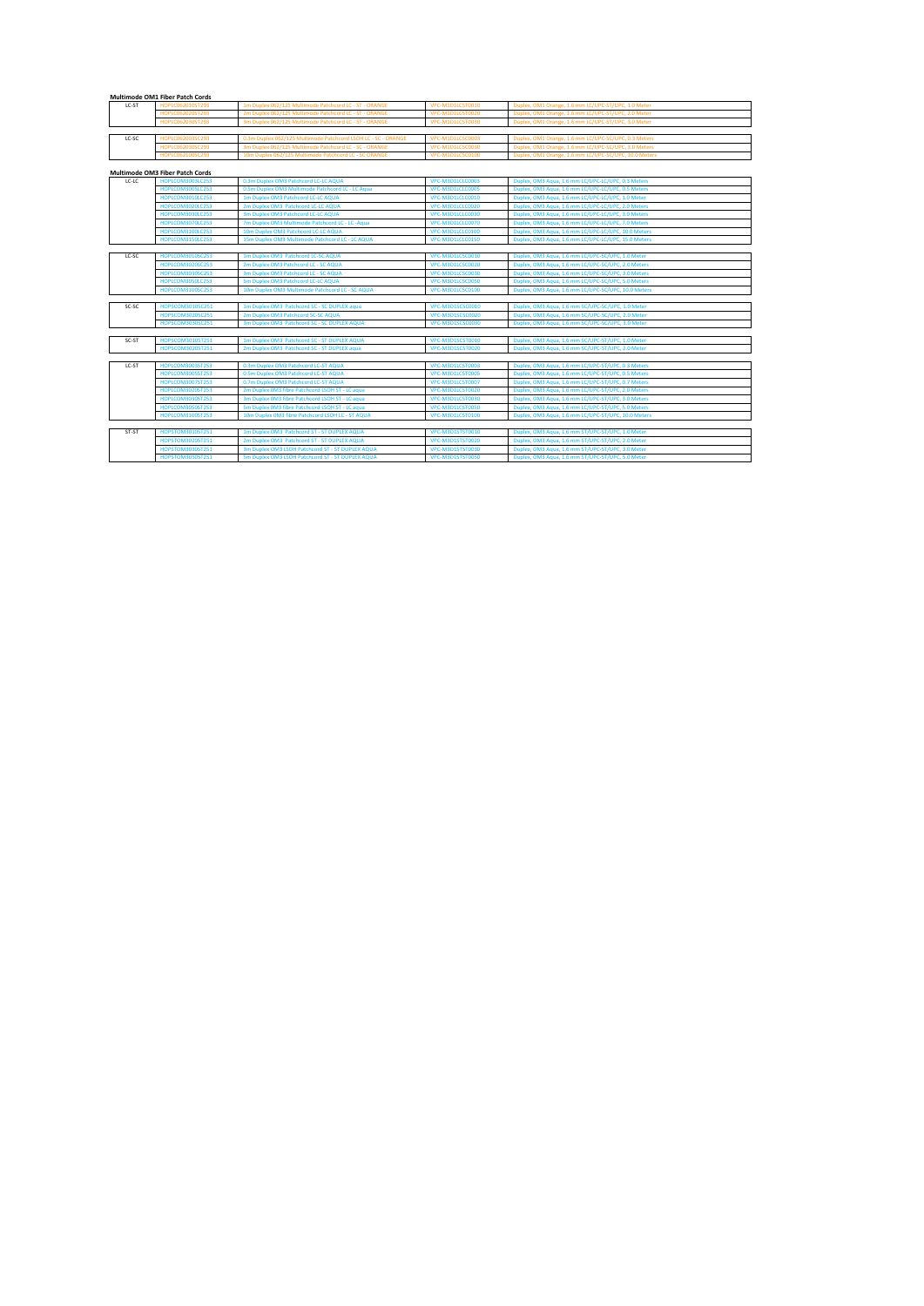## **Multimode OM1 Fiber Patch Cords**

| LC-ST | HOPLC062010ST293 | 1m Duplex 062/125 Multimode Patchcord LC - ST - ORANGE        | VPC-M1D1LCST0010 | Duplex, OM1 Orange, 1.6 mm LC/UPC-ST/UPC, 1.0 Meter  |
|-------|------------------|---------------------------------------------------------------|------------------|------------------------------------------------------|
|       | HOPLC062020ST293 | 2m Duplex 062/125 Multimode Patchcord LC - ST - ORANGE        | VPC-M1D1LCST0020 | Duplex, OM1 Orange, 1.6 mm LC/UPC-ST/UPC, 2.0 Meter  |
|       | HOPLC062030ST293 | 3m Duplex 062/125 Multimode Patchcord LC - ST - ORANGE        | VPC-M1D1LCST0030 | Duplex, OM1 Orange, 1.6 mm LC/UPC-ST/UPC, 3.0 Meter  |
|       |                  |                                                               |                  |                                                      |
| LC-SC | HOPLC062003SC293 | 0.3m Duplex 062/125 Multimode Patchcord LSOH LC - SC - ORANGE | VPC-M1D1LCSC0003 | Duplex, OM1 Orange, 1.6 mm LC/UPC-SC/UPC, 0.3 Meters |
|       | HOPLC062030SC293 | 3m Duplex 062/125 Multimode Patchcord LC - SC - ORANGE        | VPC-M1D1LCSC0030 | Duplex, OM1 Orange, 1.6 mm LC/UPC-SC/UPC, 3.0 Meters |

HOPLC062100SC293 10m Duplex 062/125 Multimode Patchcord LC - SC ORANGE VPC-M1D1LCSC0100 Duplex, OM1 Orange, 1.6 mm LC/UPC-SC/UPC, 10.0 Meters

## **Multimode OM3 Fiber Patch Cords**

| LC-LC | HOPLCOM3003LC253 | 0.3m Duplex OM3 Patchcord LC-LC AQUA             | VPC-M3D1LCLC0003 | Duplex, OM3 Aqua, 1.6 mm LC/UPC-LC/UPC, 0.3 Meters  |
|-------|------------------|--------------------------------------------------|------------------|-----------------------------------------------------|
|       | HOPLCOM3005LC253 | 0.5m Duplex OM3 Multimode Patchcord LC - LC Aqua | VPC-M3D1LCLC0005 | Duplex, OM3 Aqua, 1.6 mm LC/UPC-LC/UPC, 0.5 Meters  |
|       | HOPLCOM3010LC253 | 1m Duplex OM3 Patchcord LC-LC AQUA               | VPC-M3D1LCLC0010 | Duplex, OM3 Aqua, 1.6 mm LC/UPC-LC/UPC, 1.0 Meter   |
|       | HOPLCOM3020LC253 | 2m Duplex OM3 Patchcord LC-LC AQUA               | VPC-M3D1LCLC0020 | Duplex, OM3 Aqua, 1.6 mm LC/UPC-LC/UPC, 2.0 Meters  |
|       | HOPLCOM3030LC253 | 3m Duplex OM3 Patchcord LC-LC AQUA               | VPC-M3D1LCLC0030 | Duplex, OM3 Aqua, 1.6 mm LC/UPC-LC/UPC, 3.0 Meters  |
|       | HOPLCOM3070LC253 | 7m Duplex OM3 Multimode Patchcord LC - LC -Aqua  | VPC-M3D1LCLC0070 | Duplex, OM3 Aqua, 1.6 mm LC/UPC-LC/UPC, 7.0 Meters  |
|       | HOPLCOM3100LC253 | 10m Duplex OM3 Patchcord LC-LC AQUA              | VPC-M3D1LCLC0100 | Duplex, OM3 Aqua, 1.6 mm LC/UPC-LC/UPC, 10.0 Meters |
|       | HOPLCOM3150LC253 | 15m Duplex OM3 Multimode Patchcord LC - LC AQUA  | VPC-M3D1LCLC0150 | Duplex, OM3 Aqua, 1.6 mm LC/UPC-LC/UPC, 15.0 Meters |

| LC-SC | HOPLCOM3010SC253 | 1m Duplex OM3 Patchcord LC-SC AQUA              | VPC-M3D1LCSC0010 | Duplex, OM3 Aqua, 1.6 mm LC/UPC-SC/UPC, 1.0 Meter   |
|-------|------------------|-------------------------------------------------|------------------|-----------------------------------------------------|
|       | HOPLCOM3020SC253 | 2m Duplex OM3 Patchcord LC - SC AQUA            | VPC-M3D1LCSC0020 | Duplex, OM3 Aqua, 1.6 mm LC/UPC-SC/UPC, 2.0 Meters  |
|       | HOPLCOM3030SC253 | 3m Duplex OM3 Patchcord LC - SC AQUA            | VPC-M3D1LCSC0030 | Duplex, OM3 Aqua, 1.6 mm LC/UPC-SC/UPC, 3.0 Meters  |
|       | HOPLCOM3050LC253 | 5m Duplex OM3 Patchcord LC-LC AQUA              | VPC-M3D1LCSC0050 | Duplex, OM3 Aqua, 1.6 mm LC/UPC-SC/UPC, 5.0 Meters  |
|       | HOPLCOM3100SC253 | 10m Duplex OM3 Multimode Patchcord LC - SC AQUA | VPC-M3D1LCSC0100 | Duplex, OM3 Aqua, 1.6 mm LC/UPC-SC/UPC, 10.0 Meters |

| SC-SC |                  | 1m Duplex OM3 Patchcord SC - SC DUPLEX aqua | VPC-M3D1SCSC0010 | Duplex, OM3 Aqua, 1.6 mm SC/UPC-SC/UPC, 1.0 Meter |
|-------|------------------|---------------------------------------------|------------------|---------------------------------------------------|
|       | HOPSCOM3020SC251 | 2m Duplex OM3 Patchcord SC-SC AQUA          | VPC-M3D1SCSC0020 | Duplex, OM3 Aqua, 1.6 mm SC/UPC-SC/UPC, 2.0 Meter |
|       | HOPSCOM3030SC251 | 3m Duplex OM3 Patchcord SC - SC DUPLEX AQUA | VPC-M3D1SCSC0030 | Duplex, OM3 Aqua, 1.6 mm SC/UPC-SC/UPC, 3.0 Meter |

| SC-ST | HOPSCOM3010ST251 | 1m Duplex OM3 Patchcord SC - ST DUPLEX AQUA | VPC-M3D1SCST0010 | Duplex, OM3 Aqua, 1.6 mm SC/UPC-ST/UPC, 1.0 Meter |
|-------|------------------|---------------------------------------------|------------------|---------------------------------------------------|
|       | HOPSCOM3020ST251 | 2m Duplex OM3 Patchcord SC - ST DUPLEX aqua | VPC-M3D1SCST0020 | Duplex, OM3 Aqua, 1.6 mm SC/UPC-ST/UPC, 2.0 Meter |

| LC-ST | HOPLCOM3003ST253 | 0.3m Duplex OM3 Patchcord LC-ST AQUA             | VPC-M3D1LCST0003 | Duplex, OM3 Aqua, 1.6 mm LC/UPC-ST/UPC, 0.3 Meters  |
|-------|------------------|--------------------------------------------------|------------------|-----------------------------------------------------|
|       | HOPLCOM3005ST253 | 0.5m Duplex OM3 Patchcord LC-ST AQUA             | VPC-M3D1LCST0005 | Duplex, OM3 Aqua, 1.6 mm LC/UPC-ST/UPC, 0.5 Meters  |
|       | HOPLCOM3007ST253 | 0.7m Duplex OM3 Patchcord LC-ST AQUA             | VPC-M3D1LCST0007 | Duplex, OM3 Aqua, 1.6 mm LC/UPC-ST/UPC, 0.7 Meters  |
|       | HOPLCOM3020ST253 | 2m Duplex 0M3 fibre Patchcord LSOH ST - LC aqua  | VPC-M3D1LCST0020 | Duplex, OM3 Aqua, 1.6 mm LC/UPC-ST/UPC, 2.0 Meters  |
|       | HOPLCOM3030ST253 | 3m Duplex 0M3 fibre Patchcord LSOH ST - LC aqua  | VPC-M3D1LCST0030 | Duplex, OM3 Aqua, 1.6 mm LC/UPC-ST/UPC, 3.0 Meters  |
|       | HOPLCOM3050ST253 | 5m Duplex 0M3 fibre Patchcord LSOH ST - LC aqua  | VPC-M3D1LCST0050 | Duplex, OM3 Aqua, 1.6 mm LC/UPC-ST/UPC, 5.0 Meters  |
|       | HOPLCOM3100ST253 | 10m Duplex 0M3 fibre Patchcord LSOH LC - ST AQUA | VPC-M3D1LCST0100 | Duplex, OM3 Aqua, 1.6 mm LC/UPC-ST/UPC, 10.0 Meters |
|       |                  |                                                  |                  |                                                     |
| ST-ST | HOPSTOM3010ST251 | 1m Duplex OM3 Patchcord ST - ST DUPLEX AQUA      | VPC-M3D1STST0010 | Duplex, OM3 Aqua, 1.6 mm ST/UPC-ST/UPC, 1.0 Meter   |
|       | HOPSTOM3020ST251 | 2m Duplex OM3 Patchcord ST - ST DUPLEX AQUA      | VPC-M3D1STST0020 | Duplex, OM3 Aqua, 1.6 mm ST/UPC-ST/UPC, 2.0 Meter   |
|       | HOPSTOM3030ST251 | 3m Duplex OM3 LSOH Patchcord ST - ST DUPLEX AQUA | VPC-M3D1STST0030 | Duplex, OM3 Aqua, 1.6 mm ST/UPC-ST/UPC, 3.0 Meter   |
|       | HOPSTOM3050ST251 | 5m Duplex OM3 LSOH Patchcord ST - ST DUPLEX AQUA | VPC-M3D1STST0050 | Duplex, OM3 Aqua, 1.6 mm ST/UPC-ST/UPC, 5.0 Meter   |